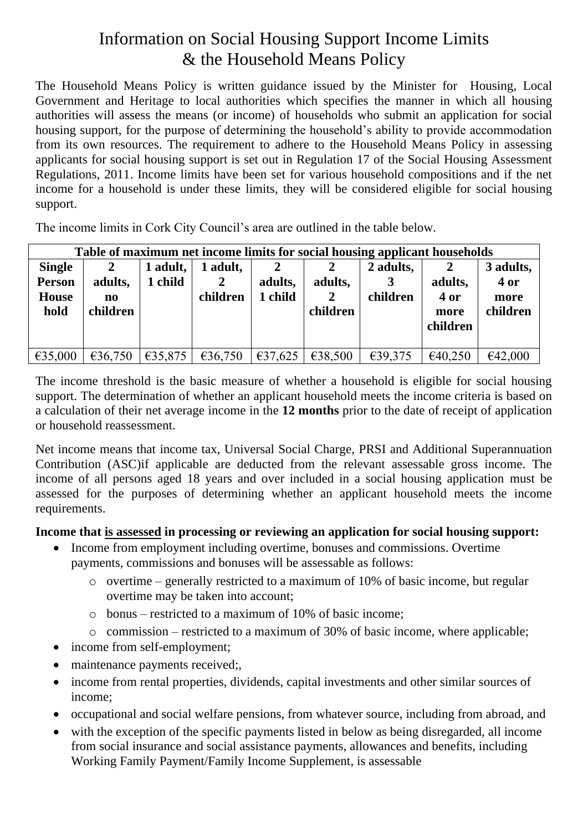## Information on Social Housing Support Income Limits & the Household Means Policy

The Household Means Policy is written guidance issued by the Minister for Housing, Local Government and Heritage to local authorities which specifies the manner in which all housing authorities will assess the means (or income) of households who submit an application for social housing support, for the purpose of determining the household's ability to provide accommodation from its own resources. The requirement to adhere to the Household Means Policy in assessing applicants for social housing support is set out in Regulation 17 of the Social Housing Assessment Regulations, 2011. Income limits have been set for various household compositions and if the net income for a household is under these limits, they will be considered eligible for social housing support.

The income limits in Cork City Council's area are outlined in the table below.

| Table of maximum net income limits for social housing applicant households |                           |                     |                           |                         |                                     |                       |                                          |                                       |
|----------------------------------------------------------------------------|---------------------------|---------------------|---------------------------|-------------------------|-------------------------------------|-----------------------|------------------------------------------|---------------------------------------|
| <b>Single</b><br><b>Person</b><br><b>House</b><br>hold                     | adults,<br>no<br>children | 1 adult,<br>l child | 1 adult,<br>2<br>children | 2<br>adults,<br>1 child | adults,<br>$\mathbf{2}$<br>children | 2 adults,<br>children | 2<br>adults,<br>4 or<br>more<br>children | 3 adults,<br>4 or<br>more<br>children |
| €35,000                                                                    | €36,750                   | €35,875             | €36,750                   | €37,625                 | €38,500                             | €39,375               | €40,250                                  | €42,000                               |

The income threshold is the basic measure of whether a household is eligible for social housing support. The determination of whether an applicant household meets the income criteria is based on a calculation of their net average income in the **12 months** prior to the date of receipt of application or household reassessment.

Net income means that income tax, Universal Social Charge, PRSI and Additional Superannuation Contribution (ASC)if applicable are deducted from the relevant assessable gross income. The income of all persons aged 18 years and over included in a social housing application must be assessed for the purposes of determining whether an applicant household meets the income requirements.

## **Income that is assessed in processing or reviewing an application for social housing support:**

- Income from employment including overtime, bonuses and commissions. Overtime payments, commissions and bonuses will be assessable as follows:
	- o overtime generally restricted to a maximum of 10% of basic income, but regular overtime may be taken into account;
	- o bonus restricted to a maximum of 10% of basic income;
	- o commission restricted to a maximum of 30% of basic income, where applicable;
- income from self-employment;
- maintenance payments received;
- income from rental properties, dividends, capital investments and other similar sources of income;
- occupational and social welfare pensions, from whatever source, including from abroad, and
- with the exception of the specific payments listed in below as being disregarded, all income from social insurance and social assistance payments, allowances and benefits, including Working Family Payment/Family Income Supplement, is assessable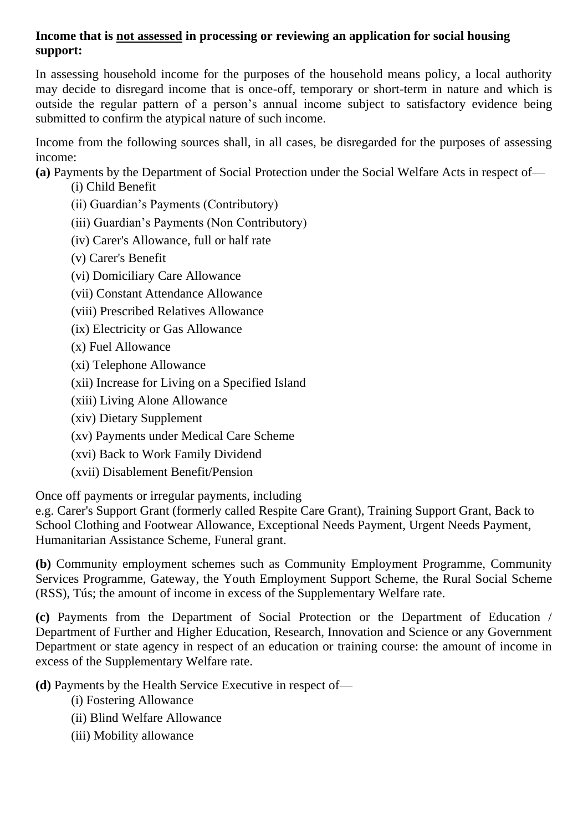## **Income that is not assessed in processing or reviewing an application for social housing support:**

In assessing household income for the purposes of the household means policy, a local authority may decide to disregard income that is once-off, temporary or short-term in nature and which is outside the regular pattern of a person's annual income subject to satisfactory evidence being submitted to confirm the atypical nature of such income.

Income from the following sources shall, in all cases, be disregarded for the purposes of assessing income:

**(a)** Payments by the Department of Social Protection under the Social Welfare Acts in respect of—

(i) Child Benefit

(ii) Guardian's Payments (Contributory)

- (iii) Guardian's Payments (Non Contributory)
- (iv) Carer's Allowance, full or half rate
- (v) Carer's Benefit

(vi) Domiciliary Care Allowance

- (vii) Constant Attendance Allowance
- (viii) Prescribed Relatives Allowance
- (ix) Electricity or Gas Allowance
- (x) Fuel Allowance
- (xi) Telephone Allowance
- (xii) Increase for Living on a Specified Island
- (xiii) Living Alone Allowance
- (xiv) Dietary Supplement
- (xv) Payments under Medical Care Scheme
- (xvi) Back to Work Family Dividend
- (xvii) Disablement Benefit/Pension

Once off payments or irregular payments, including

e.g. Carer's Support Grant (formerly called Respite Care Grant), Training Support Grant, Back to School Clothing and Footwear Allowance, Exceptional Needs Payment, Urgent Needs Payment, Humanitarian Assistance Scheme, Funeral grant.

**(b)** Community employment schemes such as Community Employment Programme, Community Services Programme, Gateway, the Youth Employment Support Scheme, the Rural Social Scheme (RSS), Tús; the amount of income in excess of the Supplementary Welfare rate.

**(c)** Payments from the Department of Social Protection or the Department of Education / Department of Further and Higher Education, Research, Innovation and Science or any Government Department or state agency in respect of an education or training course: the amount of income in excess of the Supplementary Welfare rate.

**(d)** Payments by the Health Service Executive in respect of—

- (i) Fostering Allowance
- (ii) Blind Welfare Allowance
- (iii) Mobility allowance